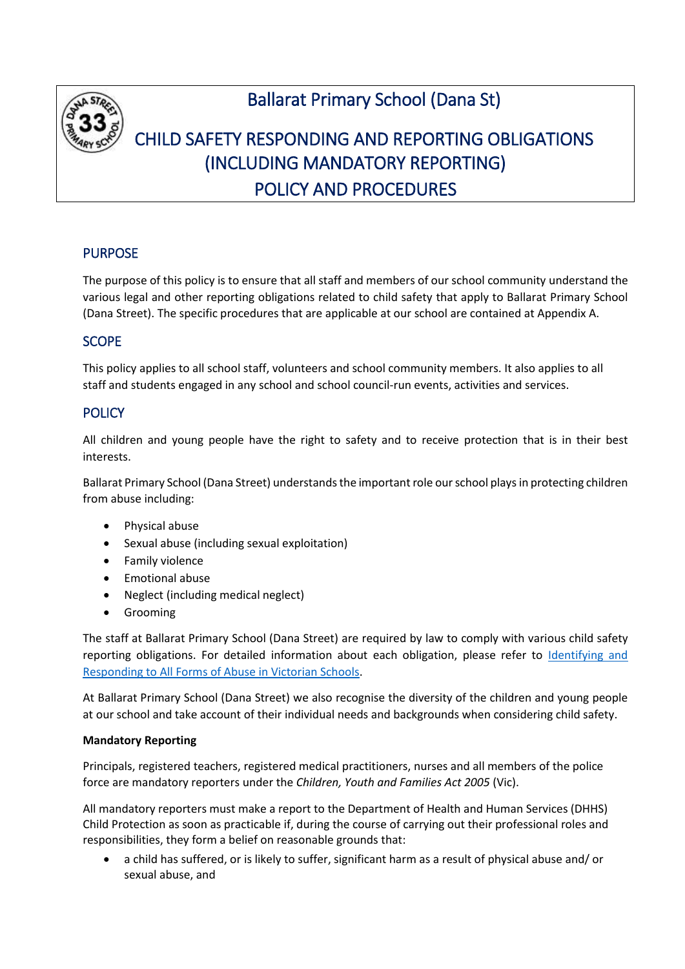

# Ballarat Primary School (Dana St)

# CHILD SAFETY RESPONDING AND REPORTING OBLIGATIONS (INCLUDING MANDATORY REPORTING) POLICY AND PROCEDURES

# PURPOSE

The purpose of this policy is to ensure that all staff and members of our school community understand the various legal and other reporting obligations related to child safety that apply to Ballarat Primary School (Dana Street). The specific procedures that are applicable at our school are contained at Appendix A.

# **SCOPE**

This policy applies to all school staff, volunteers and school community members. It also applies to all staff and students engaged in any school and school council-run events, activities and services.

# **POLICY**

All children and young people have the right to safety and to receive protection that is in their best interests.

Ballarat Primary School (Dana Street) understands the important role our school playsin protecting children from abuse including:

- Physical abuse
- Sexual abuse (including sexual exploitation)
- **•** Family violence
- Emotional abuse
- Neglect (including medical neglect)
- **•** Grooming

The staff at Ballarat Primary School (Dana Street) are required by law to comply with various child safety reporting obligations. For detailed information about each obligation, please refer to [Identifying and](https://www.education.vic.gov.au/Documents/about/programs/health/protect/ChildSafeStandard5_SchoolsGuide.pdf)  [Responding to All Forms of Abuse in Victorian Schools.](https://www.education.vic.gov.au/Documents/about/programs/health/protect/ChildSafeStandard5_SchoolsGuide.pdf)

At Ballarat Primary School (Dana Street) we also recognise the diversity of the children and young people at our school and take account of their individual needs and backgrounds when considering child safety.

#### **Mandatory Reporting**

Principals, registered teachers, registered medical practitioners, nurses and all members of the police force are mandatory reporters under the *Children, Youth and Families Act 2005* (Vic).

All mandatory reporters must make a report to the Department of Health and Human Services (DHHS) Child Protection as soon as practicable if, during the course of carrying out their professional roles and responsibilities, they form a belief on reasonable grounds that:

 a child has suffered, or is likely to suffer, significant harm as a result of physical abuse and/ or sexual abuse, and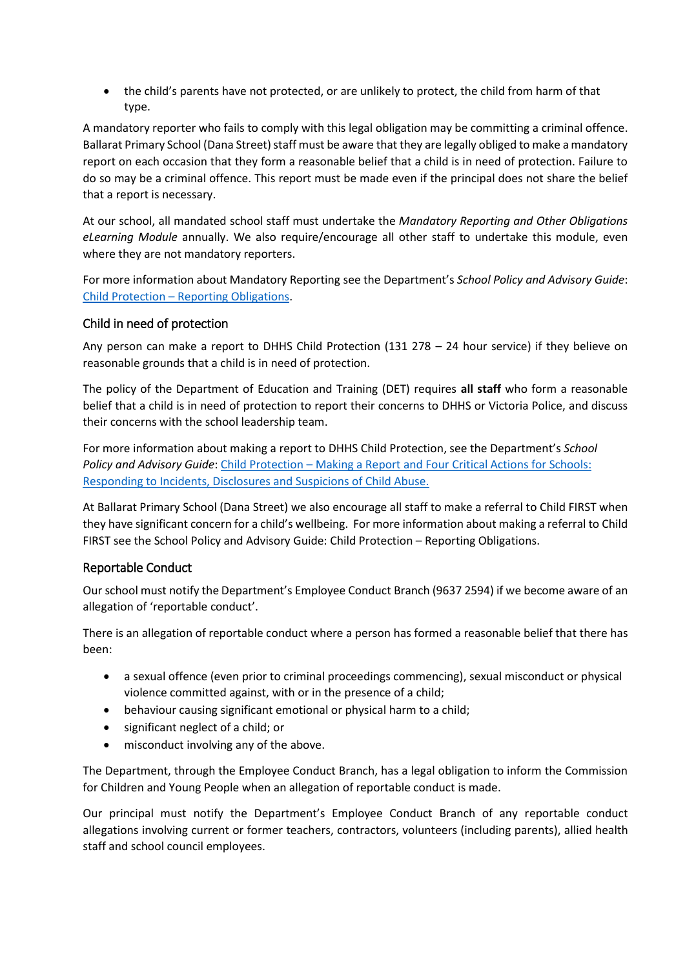the child's parents have not protected, or are unlikely to protect, the child from harm of that type.

A mandatory reporter who fails to comply with this legal obligation may be committing a criminal offence. Ballarat Primary School (Dana Street) staff must be aware that they are legally obliged to make a mandatory report on each occasion that they form a reasonable belief that a child is in need of protection. Failure to do so may be a criminal offence. This report must be made even if the principal does not share the belief that a report is necessary.

At our school, all mandated school staff must undertake the *Mandatory Reporting and Other Obligations eLearning Module* annually. We also require/encourage all other staff to undertake this module, even where they are not mandatory reporters.

For more information about Mandatory Reporting see the Department's *School Policy and Advisory Guide*: Child Protection – [Reporting Obligations.](http://www.education.vic.gov.au/school/principals/spag/safety/Pages/childprotectobligation.aspx)

## Child in need of protection

Any person can make a report to DHHS Child Protection (131 278 – 24 hour service) if they believe on reasonable grounds that a child is in need of protection.

The policy of the Department of Education and Training (DET) requires **all staff** who form a reasonable belief that a child is in need of protection to report their concerns to DHHS or Victoria Police, and discuss their concerns with the school leadership team.

For more information about making a report to DHHS Child Protection, see the Department's *School Policy and Advisory Guide*: [Child Protection](http://www.education.vic.gov.au/school/principals/spag/safety/Pages/childprotectreporting.aspx) – Making a Report and [Four Critical Actions for Schools:](https://www.education.vic.gov.au/Documents/about/programs/health/protect/FourCriticalActions_ChildAbuse.pdf)  [Responding to Incidents, Disclosures and Suspicions of Child Abuse.](https://www.education.vic.gov.au/Documents/about/programs/health/protect/FourCriticalActions_ChildAbuse.pdf)

At Ballarat Primary School (Dana Street) we also encourage all staff to make a referral to Child FIRST when they have significant concern for a child's wellbeing. For more information about making a referral to Child FIRST see the School Policy and Advisory Guide: Child Protection – [Reporting Obligations.](https://www.education.vic.gov.au/school/principals/spag/safety/Pages/childprotectobligation.aspx)

## Reportable Conduct

Our school must notify the Department's Employee Conduct Branch (9637 2594) if we become aware of an allegation of 'reportable conduct'.

There is an allegation of reportable conduct where a person has formed a reasonable belief that there has been:

- a sexual offence (even prior to criminal proceedings commencing), sexual misconduct or physical violence committed against, with or in the presence of a child;
- behaviour causing significant emotional or physical harm to a child;
- significant neglect of a child; or
- misconduct involving any of the above.

The Department, through the Employee Conduct Branch, has a legal obligation to inform the Commission for Children and Young People when an allegation of reportable conduct is made.

Our principal must notify the Department's Employee Conduct Branch of any reportable conduct allegations involving current or former teachers, contractors, volunteers (including parents), allied health staff and school council employees.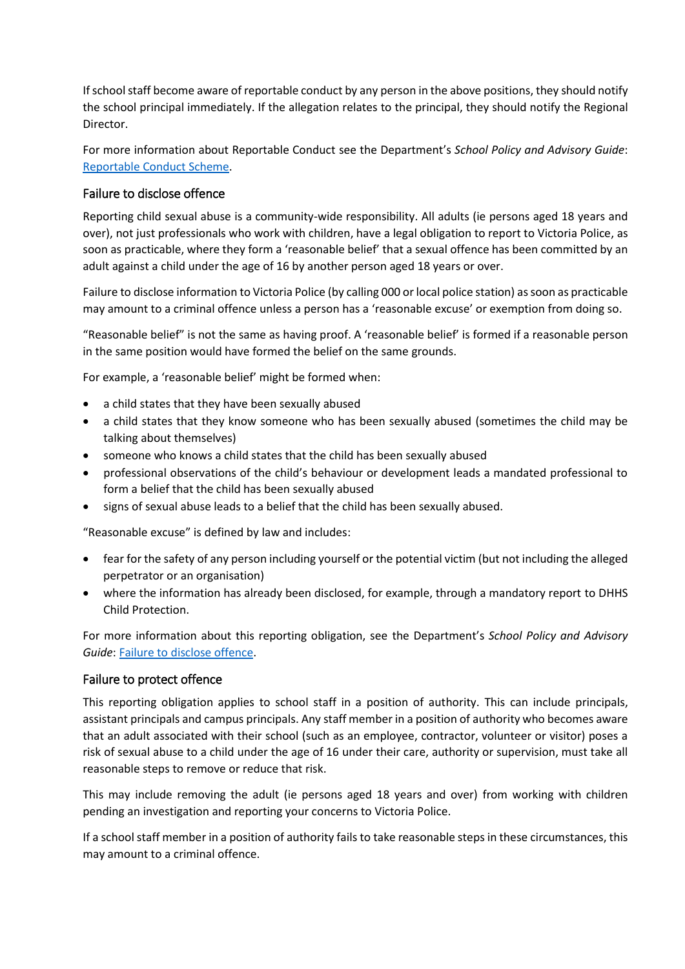If school staff become aware of reportable conduct by any person in the above positions, they should notify the school principal immediately. If the allegation relates to the principal, they should notify the Regional Director.

For more information about Reportable Conduct see the Department's *School Policy and Advisory Guide*: [Reportable Conduct Scheme.](http://www.education.vic.gov.au/school/principals/spag/safety/Pages/reportableconductscheme.aspx)

## Failure to disclose offence

Reporting child sexual abuse is a community-wide responsibility. All adults (ie persons aged 18 years and over), not just professionals who work with children, have a legal obligation to report to Victoria Police, as soon as practicable, where they form a 'reasonable belief' that a sexual offence has been committed by an adult against a child under the age of 16 by another person aged 18 years or over.

Failure to disclose information to Victoria Police (by calling 000 or local police station) as soon as practicable may amount to a criminal offence unless a person has a 'reasonable excuse' or exemption from doing so.

"Reasonable belief" is not the same as having proof. A 'reasonable belief' is formed if a reasonable person in the same position would have formed the belief on the same grounds.

For example, a 'reasonable belief' might be formed when:

- a child states that they have been sexually abused
- a child states that they know someone who has been sexually abused (sometimes the child may be talking about themselves)
- someone who knows a child states that the child has been sexually abused
- professional observations of the child's behaviour or development leads a mandated professional to form a belief that the child has been sexually abused
- signs of sexual abuse leads to a belief that the child has been sexually abused.

"Reasonable excuse" is defined by law and includes:

- fear for the safety of any person including yourself or the potential victim (but not including the alleged perpetrator or an organisation)
- where the information has already been disclosed, for example, through a mandatory report to DHHS Child Protection.

For more information about this reporting obligation, see the Department's *School Policy and Advisory Guide*[: Failure to disclose offence.](http://www.education.vic.gov.au/school/principals/spag/safety/Pages/childprotectobligation.aspx)

## Failure to protect offence

This reporting obligation applies to school staff in a position of authority. This can include principals, assistant principals and campus principals. Any staff member in a position of authority who becomes aware that an adult associated with their school (such as an employee, contractor, volunteer or visitor) poses a risk of sexual abuse to a child under the age of 16 under their care, authority or supervision, must take all reasonable steps to remove or reduce that risk.

This may include removing the adult (ie persons aged 18 years and over) from working with children pending an investigation and reporting your concerns to Victoria Police.

If a school staff member in a position of authority fails to take reasonable steps in these circumstances, this may amount to a criminal offence.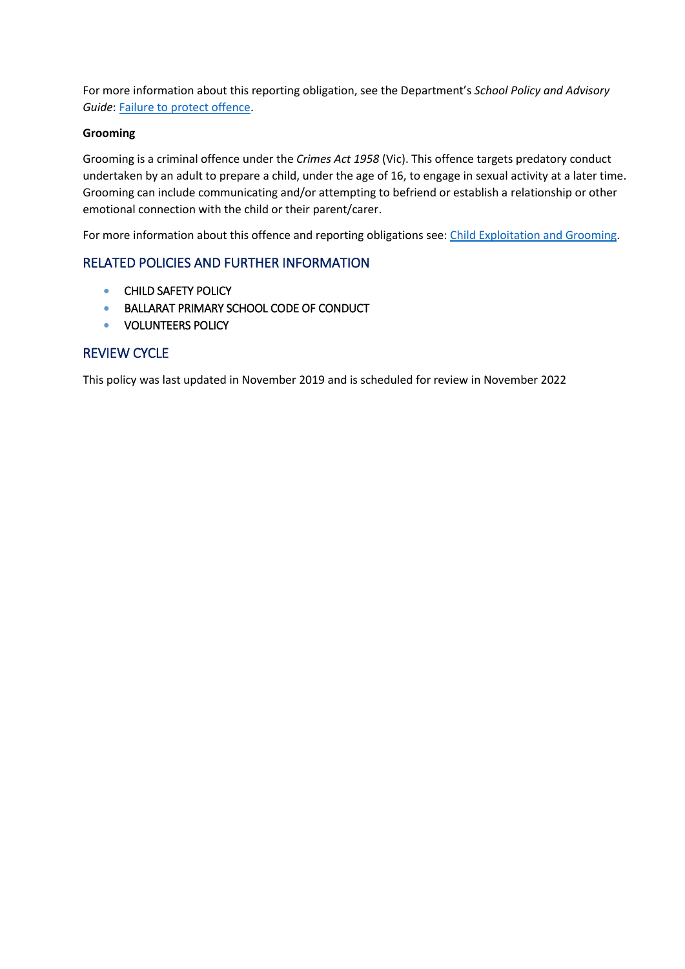For more information about this reporting obligation, see the Department's *School Policy and Advisory Guide*[: Failure to protect offence.](http://www.education.vic.gov.au/school/principals/spag/safety/Pages/childprotectobligation.aspx)

## **Grooming**

Grooming is a criminal offence under the *Crimes Act 1958* (Vic). This offence targets predatory conduct undertaken by an adult to prepare a child, under the age of 16, to engage in sexual activity at a later time. Grooming can include communicating and/or attempting to befriend or establish a relationship or other emotional connection with the child or their parent/carer.

For more information about this offence and reporting obligations see: [Child Exploitation and Grooming.](https://www.education.vic.gov.au/school/teachers/health/childprotection/Pages/expolitationgrooming.aspx)

# RELATED POLICIES AND FURTHER INFORMATION

- **CHILD SAFETY POLICY**
- BALLARAT PRIMARY SCHOOL CODE OF CONDUCT
- **VOLUNTEERS POLICY**

## REVIEW CYCLE

This policy was last updated in November 2019 and is scheduled for review in November 2022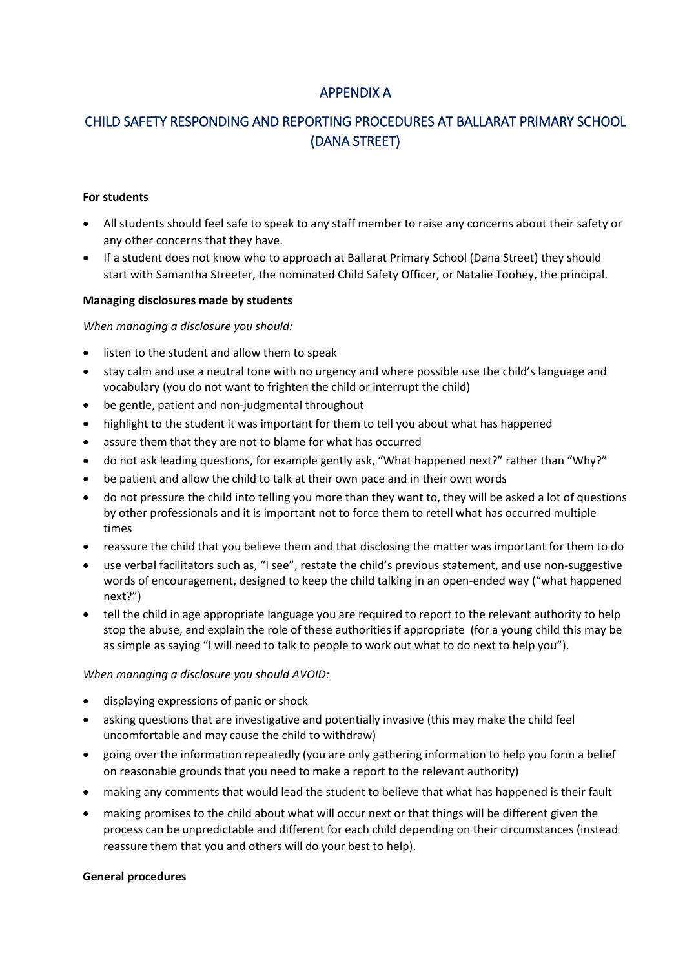# APPENDIX A

# CHILD SAFETY RESPONDING AND REPORTING PROCEDURES AT BALLARAT PRIMARY SCHOOL (DANA STREET)

#### **For students**

- All students should feel safe to speak to any staff member to raise any concerns about their safety or any other concerns that they have.
- If a student does not know who to approach at Ballarat Primary School (Dana Street) they should start with Samantha Streeter, the nominated Child Safety Officer, or Natalie Toohey, the principal.

#### **Managing disclosures made by students**

*When managing a disclosure you should:*

- listen to the student and allow them to speak
- stay calm and use a neutral tone with no urgency and where possible use the child's language and vocabulary (you do not want to frighten the child or interrupt the child)
- be gentle, patient and non-judgmental throughout
- highlight to the student it was important for them to tell you about what has happened
- assure them that they are not to blame for what has occurred
- do not ask leading questions, for example gently ask, "What happened next?" rather than "Why?"
- be patient and allow the child to talk at their own pace and in their own words
- do not pressure the child into telling you more than they want to, they will be asked a lot of questions by other professionals and it is important not to force them to retell what has occurred multiple times
- reassure the child that you believe them and that disclosing the matter was important for them to do
- use verbal facilitators such as, "I see", restate the child's previous statement, and use non-suggestive words of encouragement, designed to keep the child talking in an open-ended way ("what happened next?")
- tell the child in age appropriate language you are required to report to the relevant authority to help stop the abuse, and explain the role of these authorities if appropriate (for a young child this may be as simple as saying "I will need to talk to people to work out what to do next to help you").

#### *When managing a disclosure you should AVOID:*

- displaying expressions of panic or shock
- asking questions that are investigative and potentially invasive (this may make the child feel uncomfortable and may cause the child to withdraw)
- going over the information repeatedly (you are only gathering information to help you form a belief on reasonable grounds that you need to make a report to the relevant authority)
- making any comments that would lead the student to believe that what has happened is their fault
- making promises to the child about what will occur next or that things will be different given the process can be unpredictable and different for each child depending on their circumstances (instead reassure them that you and others will do your best to help).

#### **General procedures**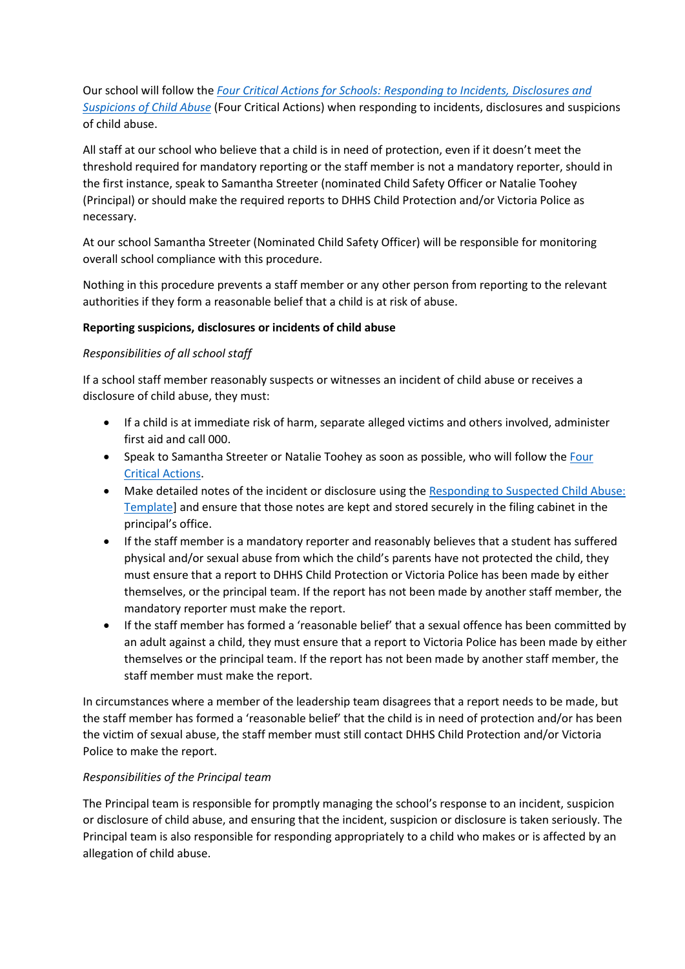Our school will follow the *[Four Critical Actions for Schools: Responding to Incidents, Disclosures and](https://www.education.vic.gov.au/Documents/about/programs/health/protect/FourCriticalActions_ChildAbuse.pdf)  [Suspicions of Child Abuse](https://www.education.vic.gov.au/Documents/about/programs/health/protect/FourCriticalActions_ChildAbuse.pdf)* (Four Critical Actions) when responding to incidents, disclosures and suspicions of child abuse.

All staff at our school who believe that a child is in need of protection, even if it doesn't meet the threshold required for mandatory reporting or the staff member is not a mandatory reporter, should in the first instance, speak to Samantha Streeter (nominated Child Safety Officer or Natalie Toohey (Principal) or should make the required reports to DHHS Child Protection and/or Victoria Police as necessary.

At our school Samantha Streeter (Nominated Child Safety Officer) will be responsible for monitoring overall school compliance with this procedure.

Nothing in this procedure prevents a staff member or any other person from reporting to the relevant authorities if they form a reasonable belief that a child is at risk of abuse.

### **Reporting suspicions, disclosures or incidents of child abuse**

### *Responsibilities of all school staff*

If a school staff member reasonably suspects or witnesses an incident of child abuse or receives a disclosure of child abuse, they must:

- If a child is at immediate risk of harm, separate alleged victims and others involved, administer first aid and call 000.
- Speak to Samantha Streeter or Natalie Toohey as soon as possible, who will follow the [Four](https://www.education.vic.gov.au/Documents/about/programs/health/protect/FourCriticalActions_ChildAbuse.pdf)  [Critical Actions.](https://www.education.vic.gov.au/Documents/about/programs/health/protect/FourCriticalActions_ChildAbuse.pdf)
- Make detailed notes of the incident or disclosure using the Responding to Suspected Child Abuse: [Template\]](https://www.education.vic.gov.au/Documents/about/programs/health/protect/PROTECT_Schoolstemplate.pdf) and ensure that those notes are kept and stored securely in the filing cabinet in the principal's office.
- If the staff member is a mandatory reporter and reasonably believes that a student has suffered physical and/or sexual abuse from which the child's parents have not protected the child, they must ensure that a report to DHHS Child Protection or Victoria Police has been made by either themselves, or the principal team. If the report has not been made by another staff member, the mandatory reporter must make the report.
- If the staff member has formed a 'reasonable belief' that a sexual offence has been committed by an adult against a child, they must ensure that a report to Victoria Police has been made by either themselves or the principal team. If the report has not been made by another staff member, the staff member must make the report.

In circumstances where a member of the leadership team disagrees that a report needs to be made, but the staff member has formed a 'reasonable belief' that the child is in need of protection and/or has been the victim of sexual abuse, the staff member must still contact DHHS Child Protection and/or Victoria Police to make the report.

#### *Responsibilities of the Principal team*

The Principal team is responsible for promptly managing the school's response to an incident, suspicion or disclosure of child abuse, and ensuring that the incident, suspicion or disclosure is taken seriously. The Principal team is also responsible for responding appropriately to a child who makes or is affected by an allegation of child abuse.